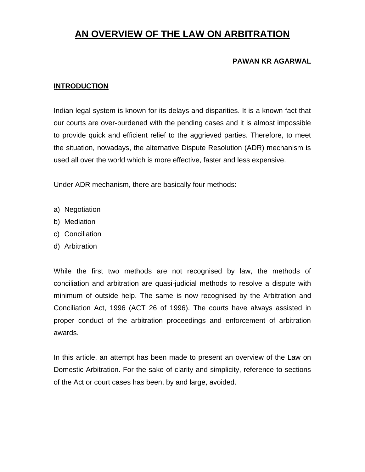# **AN OVERVIEW OF THE LAW ON ARBITRATION**

#### **PAWAN KR AGARWAL**

#### **INTRODUCTION**

Indian legal system is known for its delays and disparities. It is a known fact that our courts are over-burdened with the pending cases and it is almost impossible to provide quick and efficient relief to the aggrieved parties. Therefore, to meet the situation, nowadays, the alternative Dispute Resolution (ADR) mechanism is used all over the world which is more effective, faster and less expensive.

Under ADR mechanism, there are basically four methods:-

- a) Negotiation
- b) Mediation
- c) Conciliation
- d) Arbitration

While the first two methods are not recognised by law, the methods of conciliation and arbitration are quasi-judicial methods to resolve a dispute with minimum of outside help. The same is now recognised by the Arbitration and Conciliation Act, 1996 (ACT 26 of 1996). The courts have always assisted in proper conduct of the arbitration proceedings and enforcement of arbitration awards.

In this article, an attempt has been made to present an overview of the Law on Domestic Arbitration. For the sake of clarity and simplicity, reference to sections of the Act or court cases has been, by and large, avoided.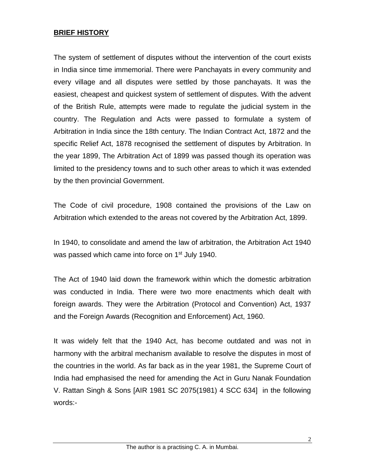#### **BRIEF HISTORY**

The system of settlement of disputes without the intervention of the court exists in India since time immemorial. There were Panchayats in every community and every village and all disputes were settled by those panchayats. It was the easiest, cheapest and quickest system of settlement of disputes. With the advent of the British Rule, attempts were made to regulate the judicial system in the country. The Regulation and Acts were passed to formulate a system of Arbitration in India since the 18th century. The Indian Contract Act, 1872 and the specific Relief Act, 1878 recognised the settlement of disputes by Arbitration. In the year 1899, The Arbitration Act of 1899 was passed though its operation was limited to the presidency towns and to such other areas to which it was extended by the then provincial Government.

The Code of civil procedure, 1908 contained the provisions of the Law on Arbitration which extended to the areas not covered by the Arbitration Act, 1899.

In 1940, to consolidate and amend the law of arbitration, the Arbitration Act 1940 was passed which came into force on 1<sup>st</sup> July 1940.

The Act of 1940 laid down the framework within which the domestic arbitration was conducted in India. There were two more enactments which dealt with foreign awards. They were the Arbitration (Protocol and Convention) Act, 1937 and the Foreign Awards (Recognition and Enforcement) Act, 1960.

It was widely felt that the 1940 Act, has become outdated and was not in harmony with the arbitral mechanism available to resolve the disputes in most of the countries in the world. As far back as in the year 1981, the Supreme Court of India had emphasised the need for amending the Act in Guru Nanak Foundation V. Rattan Singh & Sons [AIR 1981 SC 2075(1981) 4 SCC 634] in the following words:-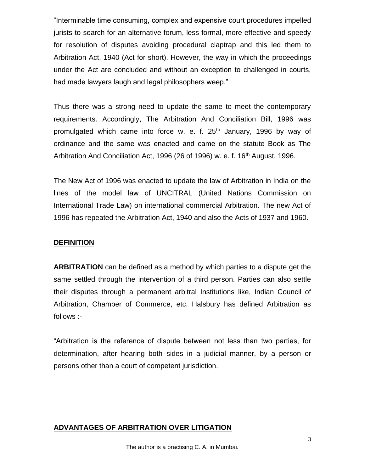"Interminable time consuming, complex and expensive court procedures impelled jurists to search for an alternative forum, less formal, more effective and speedy for resolution of disputes avoiding procedural claptrap and this led them to Arbitration Act, 1940 (Act for short). However, the way in which the proceedings under the Act are concluded and without an exception to challenged in courts, had made lawyers laugh and legal philosophers weep."

Thus there was a strong need to update the same to meet the contemporary requirements. Accordingly, The Arbitration And Conciliation Bill, 1996 was promulgated which came into force w. e. f. 25<sup>th</sup> January, 1996 by way of ordinance and the same was enacted and came on the statute Book as The Arbitration And Conciliation Act, 1996 (26 of 1996) w. e. f. 16<sup>th</sup> August, 1996.

The New Act of 1996 was enacted to update the law of Arbitration in India on the lines of the model law of UNCITRAL (United Nations Commission on International Trade Law) on international commercial Arbitration. The new Act of 1996 has repeated the Arbitration Act, 1940 and also the Acts of 1937 and 1960.

### **DEFINITION**

**ARBITRATION** can be defined as a method by which parties to a dispute get the same settled through the intervention of a third person. Parties can also settle their disputes through a permanent arbitral Institutions like, Indian Council of Arbitration, Chamber of Commerce, etc. Halsbury has defined Arbitration as follows :-

"Arbitration is the reference of dispute between not less than two parties, for determination, after hearing both sides in a judicial manner, by a person or persons other than a court of competent jurisdiction.

# **ADVANTAGES OF ARBITRATION OVER LITIGATION**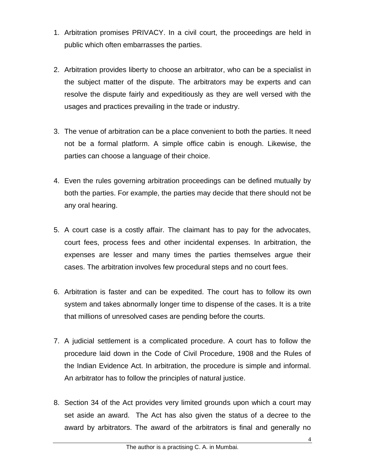- 1. Arbitration promises PRIVACY. In a civil court, the proceedings are held in public which often embarrasses the parties.
- 2. Arbitration provides liberty to choose an arbitrator, who can be a specialist in the subject matter of the dispute. The arbitrators may be experts and can resolve the dispute fairly and expeditiously as they are well versed with the usages and practices prevailing in the trade or industry.
- 3. The venue of arbitration can be a place convenient to both the parties. It need not be a formal platform. A simple office cabin is enough. Likewise, the parties can choose a language of their choice.
- 4. Even the rules governing arbitration proceedings can be defined mutually by both the parties. For example, the parties may decide that there should not be any oral hearing.
- 5. A court case is a costly affair. The claimant has to pay for the advocates, court fees, process fees and other incidental expenses. In arbitration, the expenses are lesser and many times the parties themselves argue their cases. The arbitration involves few procedural steps and no court fees.
- 6. Arbitration is faster and can be expedited. The court has to follow its own system and takes abnormally longer time to dispense of the cases. It is a trite that millions of unresolved cases are pending before the courts.
- 7. A judicial settlement is a complicated procedure. A court has to follow the procedure laid down in the Code of Civil Procedure, 1908 and the Rules of the Indian Evidence Act. In arbitration, the procedure is simple and informal. An arbitrator has to follow the principles of natural justice.
- 8. Section 34 of the Act provides very limited grounds upon which a court may set aside an award. The Act has also given the status of a decree to the award by arbitrators. The award of the arbitrators is final and generally no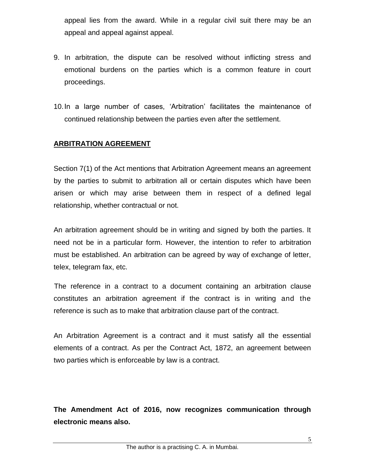appeal lies from the award. While in a regular civil suit there may be an appeal and appeal against appeal.

- 9. In arbitration, the dispute can be resolved without inflicting stress and emotional burdens on the parties which is a common feature in court proceedings.
- 10.In a large number of cases, 'Arbitration' facilitates the maintenance of continued relationship between the parties even after the settlement.

### **ARBITRATION AGREEMENT**

Section 7(1) of the Act mentions that Arbitration Agreement means an agreement by the parties to submit to arbitration all or certain disputes which have been arisen or which may arise between them in respect of a defined legal relationship, whether contractual or not.

An arbitration agreement should be in writing and signed by both the parties. It need not be in a particular form. However, the intention to refer to arbitration must be established. An arbitration can be agreed by way of exchange of letter, telex, telegram fax, etc.

The reference in a contract to a document containing an arbitration clause constitutes an arbitration agreement if the contract is in writing and the reference is such as to make that arbitration clause part of the contract.

An Arbitration Agreement is a contract and it must satisfy all the essential elements of a contract. As per the Contract Act, 1872, an agreement between two parties which is enforceable by law is a contract.

**The Amendment Act of 2016, now recognizes communication through electronic means also.**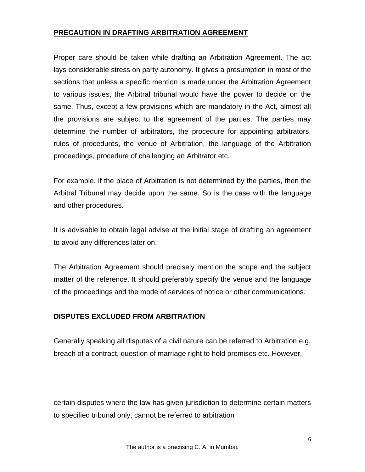### **PRECAUTION IN DRAFTING ARBITRATION AGREEMENT**

Proper care should be taken while drafting an Arbitration Agreement. The act lays considerable stress on party autonomy. It gives a presumption in most of the sections that unless a specific mention is made under the Arbitration Agreement to various issues, the Arbitral tribunal would have the power to decide on the same. Thus, except a few provisions which are mandatory in the Act, almost all the provisions are subject to the agreement of the parties. The parties may determine the number of arbitrators, the procedure for appointing arbitrators, rules of procedures, the venue of Arbitration, the language of the Arbitration proceedings, procedure of challenging an Arbitrator etc.

For example, if the place of Arbitration is not determined by the parties, then the Arbitral Tribunal may decide upon the same. So is the case with the language and other procedures.

It is advisable to obtain legal advise at the initial stage of drafting an agreement to avoid any differences later on.

The Arbitration Agreement should precisely mention the scope and the subject matter of the reference. It should preferably specify the venue and the language of the proceedings and the mode of services of notice or other communications.

# **DISPUTES EXCLUDED FROM ARBITRATION**

Generally speaking all disputes of a civil nature can be referred to Arbitration e.g. breach of a contract, question of marriage right to hold premises etc. However,

certain disputes where the law has given jurisdiction to determine certain matters to specified tribunal only, cannot be referred to arbitration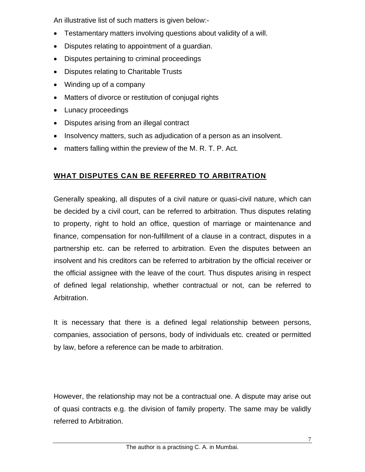An illustrative list of such matters is given below:-

- Testamentary matters involving questions about validity of a will.
- Disputes relating to appointment of a guardian.
- Disputes pertaining to criminal proceedings
- Disputes relating to Charitable Trusts
- Winding up of a company
- Matters of divorce or restitution of conjugal rights
- Lunacy proceedings
- Disputes arising from an illegal contract
- Insolvency matters, such as adjudication of a person as an insolvent.
- matters falling within the preview of the M. R. T. P. Act.

# **WHAT DISPUTES CAN BE REFERRED TO ARBITRATION**

Generally speaking, all disputes of a civil nature or quasi-civil nature, which can be decided by a civil court, can be referred to arbitration. Thus disputes relating to property, right to hold an office, question of marriage or maintenance and finance, compensation for non-fulfillment of a clause in a contract, disputes in a partnership etc. can be referred to arbitration. Even the disputes between an insolvent and his creditors can be referred to arbitration by the official receiver or the official assignee with the leave of the court. Thus disputes arising in respect of defined legal relationship, whether contractual or not, can be referred to Arbitration.

It is necessary that there is a defined legal relationship between persons, companies, association of persons, body of individuals etc. created or permitted by law, before a reference can be made to arbitration.

However, the relationship may not be a contractual one. A dispute may arise out of quasi contracts e.g. the division of family property. The same may be validly referred to Arbitration.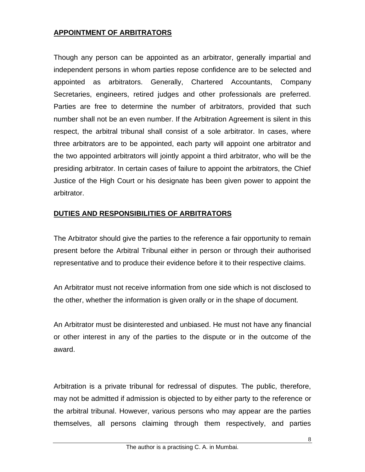### **APPOINTMENT OF ARBITRATORS**

Though any person can be appointed as an arbitrator, generally impartial and independent persons in whom parties repose confidence are to be selected and appointed as arbitrators. Generally, Chartered Accountants, Company Secretaries, engineers, retired judges and other professionals are preferred. Parties are free to determine the number of arbitrators, provided that such number shall not be an even number. If the Arbitration Agreement is silent in this respect, the arbitral tribunal shall consist of a sole arbitrator. In cases, where three arbitrators are to be appointed, each party will appoint one arbitrator and the two appointed arbitrators will jointly appoint a third arbitrator, who will be the presiding arbitrator. In certain cases of failure to appoint the arbitrators, the Chief Justice of the High Court or his designate has been given power to appoint the arbitrator.

# **DUTIES AND RESPONSIBILITIES OF ARBITRATORS**

The Arbitrator should give the parties to the reference a fair opportunity to remain present before the Arbitral Tribunal either in person or through their authorised representative and to produce their evidence before it to their respective claims.

An Arbitrator must not receive information from one side which is not disclosed to the other, whether the information is given orally or in the shape of document.

An Arbitrator must be disinterested and unbiased. He must not have any financial or other interest in any of the parties to the dispute or in the outcome of the award.

Arbitration is a private tribunal for redressal of disputes. The public, therefore, may not be admitted if admission is objected to by either party to the reference or the arbitral tribunal. However, various persons who may appear are the parties themselves, all persons claiming through them respectively, and parties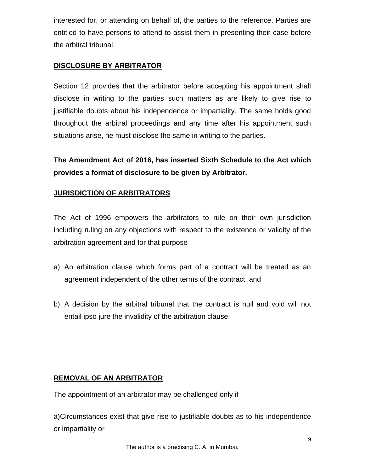interested for, or attending on behalf of, the parties to the reference. Parties are entitled to have persons to attend to assist them in presenting their case before the arbitral tribunal.

# **DISCLOSURE BY ARBITRATOR**

Section 12 provides that the arbitrator before accepting his appointment shall disclose in writing to the parties such matters as are likely to give rise to justifiable doubts about his independence or impartiality. The same holds good throughout the arbitral proceedings and any time after his appointment such situations arise, he must disclose the same in writing to the parties.

**The Amendment Act of 2016, has inserted Sixth Schedule to the Act which provides a format of disclosure to be given by Arbitrator.**

# **JURISDICTION OF ARBITRATORS**

The Act of 1996 empowers the arbitrators to rule on their own jurisdiction including ruling on any objections with respect to the existence or validity of the arbitration agreement and for that purpose

- a) An arbitration clause which forms part of a contract will be treated as an agreement independent of the other terms of the contract, and
- b) A decision by the arbitral tribunal that the contract is null and void will not entail ipso jure the invalidity of the arbitration clause.

# **REMOVAL OF AN ARBITRATOR**

The appointment of an arbitrator may be challenged only if

a)Circumstances exist that give rise to justifiable doubts as to his independence or impartiality or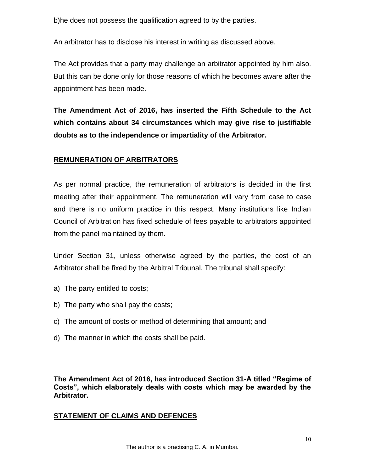b)he does not possess the qualification agreed to by the parties.

An arbitrator has to disclose his interest in writing as discussed above.

The Act provides that a party may challenge an arbitrator appointed by him also. But this can be done only for those reasons of which he becomes aware after the appointment has been made.

**The Amendment Act of 2016, has inserted the Fifth Schedule to the Act which contains about 34 circumstances which may give rise to justifiable doubts as to the independence or impartiality of the Arbitrator.**

# **REMUNERATION OF ARBITRATORS**

As per normal practice, the remuneration of arbitrators is decided in the first meeting after their appointment. The remuneration will vary from case to case and there is no uniform practice in this respect. Many institutions like Indian Council of Arbitration has fixed schedule of fees payable to arbitrators appointed from the panel maintained by them.

Under Section 31, unless otherwise agreed by the parties, the cost of an Arbitrator shall be fixed by the Arbitral Tribunal. The tribunal shall specify:

- a) The party entitled to costs;
- b) The party who shall pay the costs;
- c) The amount of costs or method of determining that amount; and
- d) The manner in which the costs shall be paid.

**The Amendment Act of 2016, has introduced Section 31-A titled "Regime of Costs", which elaborately deals with costs which may be awarded by the Arbitrator.**

# **STATEMENT OF CLAIMS AND DEFENCES**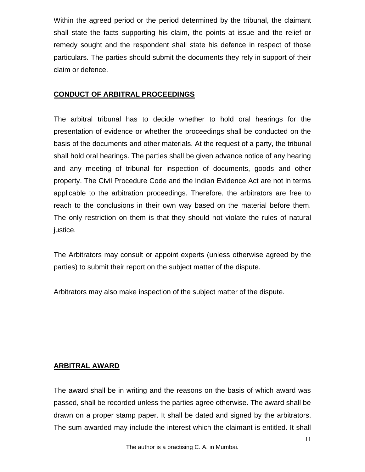Within the agreed period or the period determined by the tribunal, the claimant shall state the facts supporting his claim, the points at issue and the relief or remedy sought and the respondent shall state his defence in respect of those particulars. The parties should submit the documents they rely in support of their claim or defence.

# **CONDUCT OF ARBITRAL PROCEEDINGS**

The arbitral tribunal has to decide whether to hold oral hearings for the presentation of evidence or whether the proceedings shall be conducted on the basis of the documents and other materials. At the request of a party, the tribunal shall hold oral hearings. The parties shall be given advance notice of any hearing and any meeting of tribunal for inspection of documents, goods and other property. The Civil Procedure Code and the Indian Evidence Act are not in terms applicable to the arbitration proceedings. Therefore, the arbitrators are free to reach to the conclusions in their own way based on the material before them. The only restriction on them is that they should not violate the rules of natural justice.

The Arbitrators may consult or appoint experts (unless otherwise agreed by the parties) to submit their report on the subject matter of the dispute.

Arbitrators may also make inspection of the subject matter of the dispute.

# **ARBITRAL AWARD**

The award shall be in writing and the reasons on the basis of which award was passed, shall be recorded unless the parties agree otherwise. The award shall be drawn on a proper stamp paper. It shall be dated and signed by the arbitrators. The sum awarded may include the interest which the claimant is entitled. It shall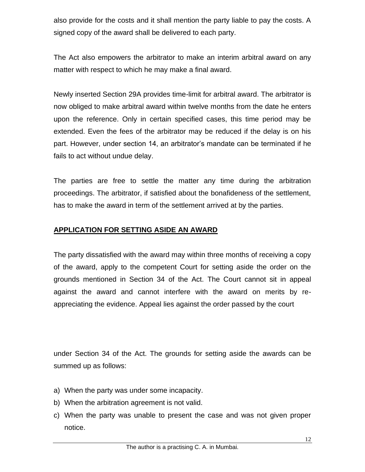also provide for the costs and it shall mention the party liable to pay the costs. A signed copy of the award shall be delivered to each party.

The Act also empowers the arbitrator to make an interim arbitral award on any matter with respect to which he may make a final award.

Newly inserted Section 29A provides time-limit for arbitral award. The arbitrator is now obliged to make arbitral award within twelve months from the date he enters upon the reference. Only in certain specified cases, this time period may be extended. Even the fees of the arbitrator may be reduced if the delay is on his part. However, under section 14, an arbitrator's mandate can be terminated if he fails to act without undue delay.

The parties are free to settle the matter any time during the arbitration proceedings. The arbitrator, if satisfied about the bonafideness of the settlement, has to make the award in term of the settlement arrived at by the parties.

#### **APPLICATION FOR SETTING ASIDE AN AWARD**

The party dissatisfied with the award may within three months of receiving a copy of the award, apply to the competent Court for setting aside the order on the grounds mentioned in Section 34 of the Act. The Court cannot sit in appeal against the award and cannot interfere with the award on merits by reappreciating the evidence. Appeal lies against the order passed by the court

under Section 34 of the Act. The grounds for setting aside the awards can be summed up as follows:

- a) When the party was under some incapacity.
- b) When the arbitration agreement is not valid.
- c) When the party was unable to present the case and was not given proper notice.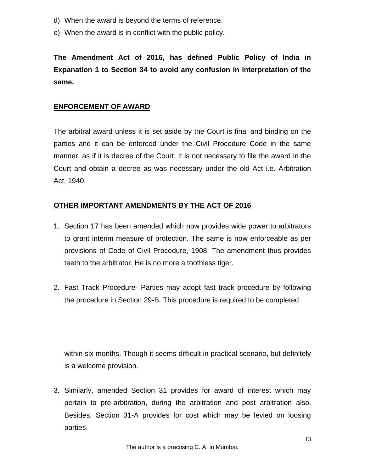- d) When the award is beyond the terms of reference.
- e) When the award is in conflict with the public policy.

**The Amendment Act of 2016, has defined Public Policy of India in Expanation 1 to Section 34 to avoid any confusion in interpretation of the same.**

### **ENFORCEMENT OF AWARD**

The arbitral award unless it is set aside by the Court is final and binding on the parties and it can be enforced under the Civil Procedure Code in the same manner, as if it is decree of the Court. It is not necessary to file the award in the Court and obtain a decree as was necessary under the old Act i.e. Arbitration Act, 1940.

### **OTHER IMPORTANT AMENDMENTS BY THE ACT OF 2016**

- 1. Section 17 has been amended which now provides wide power to arbitrators to grant interim measure of protection. The same is now enforceable as per provisions of Code of Civil Procedure, 1908. The amendment thus provides teeth to the arbitrator. He is no more a toothless tiger.
- 2. Fast Track Procedure- Parties may adopt fast track procedure by following the procedure in Section 29-B. This procedure is required to be completed

within six months. Though it seems difficult in practical scenario, but definitely is a welcome provision.

3. Similarly, amended Section 31 provides for award of interest which may pertain to pre-arbitration, during the arbitration and post arbitration also. Besides, Section 31-A provides for cost which may be levied on loosing parties.